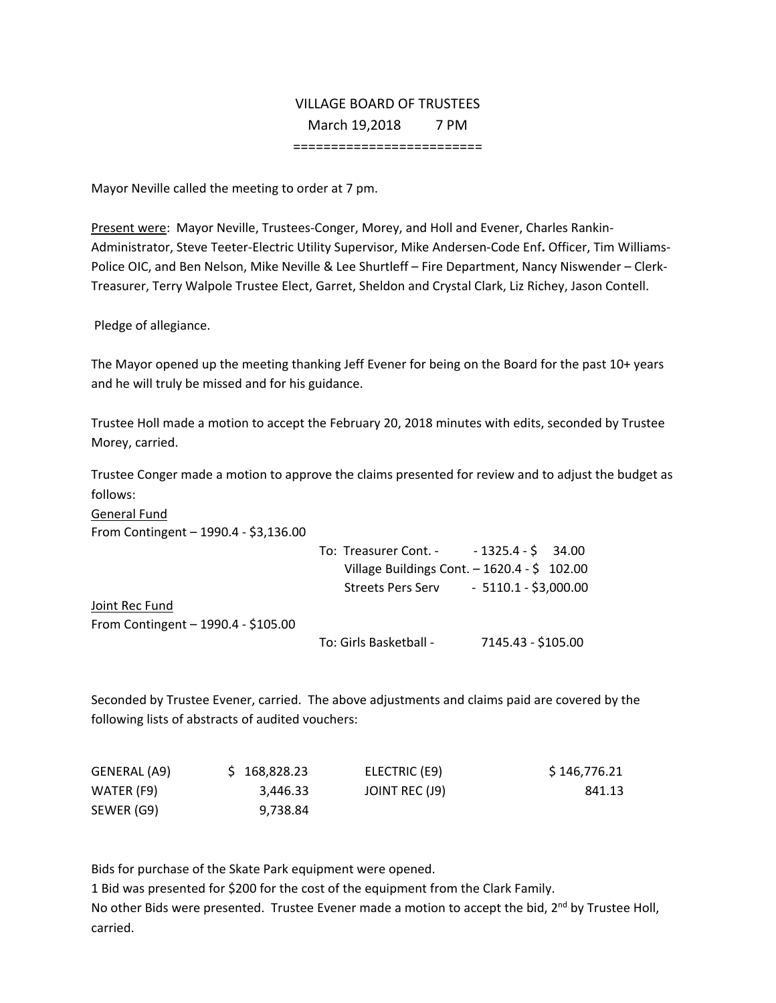## VILLAGE BOARD OF TRUSTEES March 19,2018 7 PM =========================

Mayor Neville called the meeting to order at 7 pm.

Present were: Mayor Neville, Trustees‐Conger, Morey, and Holl and Evener, Charles Rankin‐ Administrator, Steve Teeter‐Electric Utility Supervisor, Mike Andersen‐Code Enf**.** Officer, Tim Williams‐ Police OIC, and Ben Nelson, Mike Neville & Lee Shurtleff – Fire Department, Nancy Niswender – Clerk‐ Treasurer, Terry Walpole Trustee Elect, Garret, Sheldon and Crystal Clark, Liz Richey, Jason Contell.

Pledge of allegiance.

The Mayor opened up the meeting thanking Jeff Evener for being on the Board for the past 10+ years and he will truly be missed and for his guidance.

Trustee Holl made a motion to accept the February 20, 2018 minutes with edits, seconded by Trustee Morey, carried.

Trustee Conger made a motion to approve the claims presented for review and to adjust the budget as follows:

| General Fund                          |                                          |                                              |  |
|---------------------------------------|------------------------------------------|----------------------------------------------|--|
| From Contingent - 1990.4 - \$3,136.00 |                                          |                                              |  |
|                                       | To: Treasurer Cont. - -1325.4 - \$ 34.00 |                                              |  |
|                                       |                                          | Village Buildings Cont. $-1620.4 - 5$ 102.00 |  |
|                                       |                                          | Streets Pers Serv - 5110.1 - \$3,000.00      |  |
| Joint Rec Fund                        |                                          |                                              |  |
| From Contingent - 1990.4 - \$105.00   |                                          |                                              |  |
|                                       | To: Girls Basketball -                   | 7145.43 - \$105.00                           |  |

Seconded by Trustee Evener, carried. The above adjustments and claims paid are covered by the following lists of abstracts of audited vouchers:

| GENERAL (A9) | \$168,828.23 | ELECTRIC (E9)  | \$146,776.21 |
|--------------|--------------|----------------|--------------|
| WATER (F9)   | 3.446.33     | JOINT REC (J9) | 841.13       |
| SEWER (G9)   | 9.738.84     |                |              |

Bids for purchase of the Skate Park equipment were opened.

1 Bid was presented for \$200 for the cost of the equipment from the Clark Family. No other Bids were presented. Trustee Evener made a motion to accept the bid, 2<sup>nd</sup> by Trustee Holl, carried.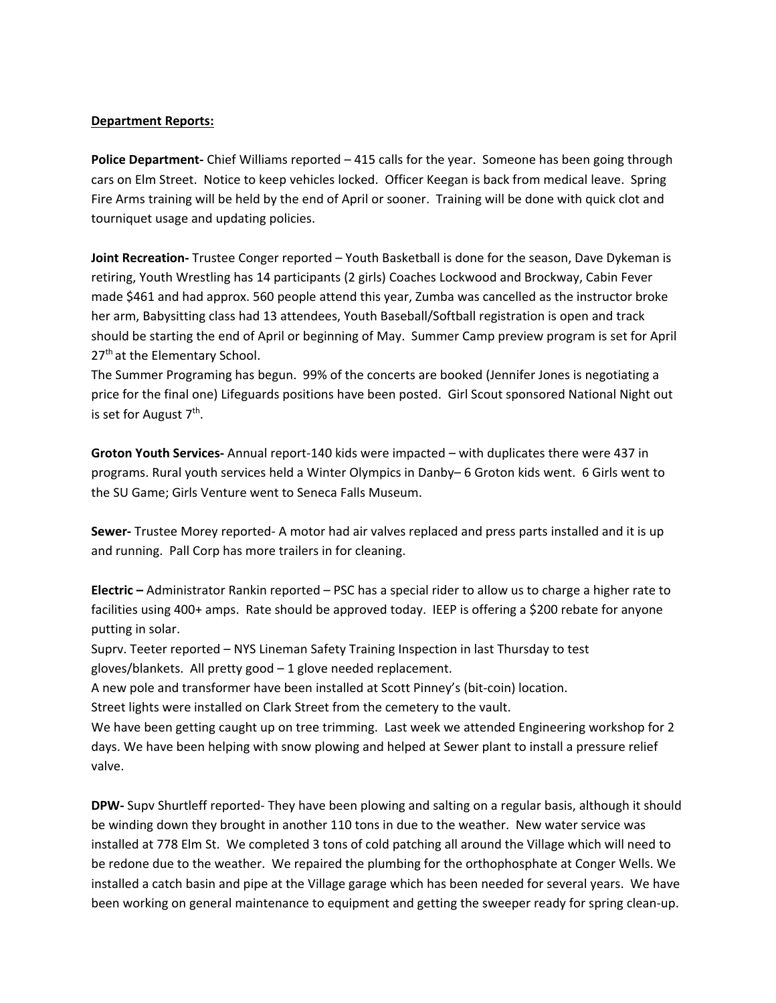## **Department Reports:**

**Police Department‐** Chief Williams reported – 415 calls for the year. Someone has been going through cars on Elm Street. Notice to keep vehicles locked. Officer Keegan is back from medical leave. Spring Fire Arms training will be held by the end of April or sooner. Training will be done with quick clot and tourniquet usage and updating policies.

**Joint Recreation‐** Trustee Conger reported – Youth Basketball is done for the season, Dave Dykeman is retiring, Youth Wrestling has 14 participants (2 girls) Coaches Lockwood and Brockway, Cabin Fever made \$461 and had approx. 560 people attend this year, Zumba was cancelled as the instructor broke her arm, Babysitting class had 13 attendees, Youth Baseball/Softball registration is open and track should be starting the end of April or beginning of May. Summer Camp preview program is set for April 27<sup>th</sup> at the Elementary School.

The Summer Programing has begun. 99% of the concerts are booked (Jennifer Jones is negotiating a price for the final one) Lifeguards positions have been posted. Girl Scout sponsored National Night out is set for August 7<sup>th</sup>.

**Groton Youth Services‐** Annual report‐140 kids were impacted – with duplicates there were 437 in programs. Rural youth services held a Winter Olympics in Danby– 6 Groton kids went. 6 Girls went to the SU Game; Girls Venture went to Seneca Falls Museum.

**Sewer‐** Trustee Morey reported‐ A motor had air valves replaced and press parts installed and it is up and running. Pall Corp has more trailers in for cleaning.

**Electric –** Administrator Rankin reported – PSC has a special rider to allow us to charge a higher rate to facilities using 400+ amps. Rate should be approved today. IEEP is offering a \$200 rebate for anyone putting in solar.

Suprv. Teeter reported – NYS Lineman Safety Training Inspection in last Thursday to test gloves/blankets. All pretty good – 1 glove needed replacement.

A new pole and transformer have been installed at Scott Pinney's (bit‐coin) location.

Street lights were installed on Clark Street from the cemetery to the vault.

We have been getting caught up on tree trimming. Last week we attended Engineering workshop for 2 days. We have been helping with snow plowing and helped at Sewer plant to install a pressure relief valve.

**DPW‐** Supv Shurtleff reported‐ They have been plowing and salting on a regular basis, although it should be winding down they brought in another 110 tons in due to the weather. New water service was installed at 778 Elm St. We completed 3 tons of cold patching all around the Village which will need to be redone due to the weather. We repaired the plumbing for the orthophosphate at Conger Wells. We installed a catch basin and pipe at the Village garage which has been needed for several years. We have been working on general maintenance to equipment and getting the sweeper ready for spring clean-up.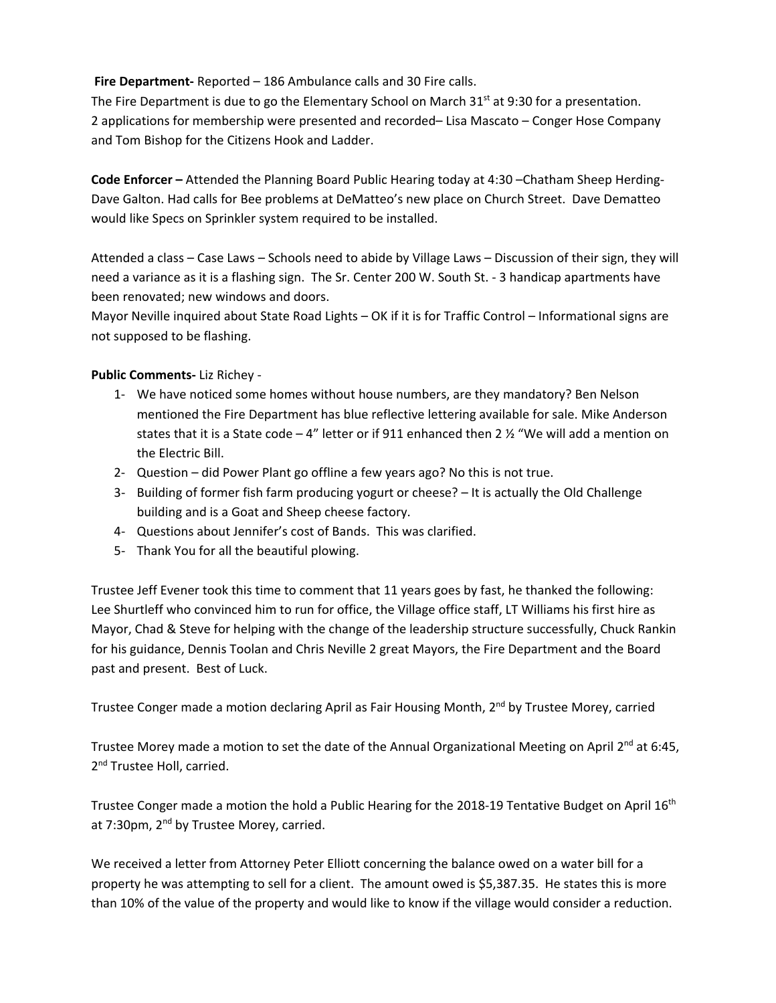## **Fire Department‐** Reported – 186 Ambulance calls and 30 Fire calls.

The Fire Department is due to go the Elementary School on March 31<sup>st</sup> at 9:30 for a presentation. 2 applications for membership were presented and recorded– Lisa Mascato – Conger Hose Company and Tom Bishop for the Citizens Hook and Ladder.

**Code Enforcer –** Attended the Planning Board Public Hearing today at 4:30 –Chatham Sheep Herding‐ Dave Galton. Had calls for Bee problems at DeMatteo's new place on Church Street. Dave Dematteo would like Specs on Sprinkler system required to be installed.

Attended a class – Case Laws – Schools need to abide by Village Laws – Discussion of their sign, they will need a variance as it is a flashing sign. The Sr. Center 200 W. South St. ‐ 3 handicap apartments have been renovated; new windows and doors.

Mayor Neville inquired about State Road Lights – OK if it is for Traffic Control – Informational signs are not supposed to be flashing.

**Public Comments‐** Liz Richey ‐

- 1‐ We have noticed some homes without house numbers, are they mandatory? Ben Nelson mentioned the Fire Department has blue reflective lettering available for sale. Mike Anderson states that it is a State code  $-4$ " letter or if 911 enhanced then 2  $\frac{1}{2}$  "We will add a mention on the Electric Bill.
- 2‐ Question did Power Plant go offline a few years ago? No this is not true.
- 3‐ Building of former fish farm producing yogurt or cheese? It is actually the Old Challenge building and is a Goat and Sheep cheese factory.
- 4‐ Questions about Jennifer's cost of Bands. This was clarified.
- 5‐ Thank You for all the beautiful plowing.

Trustee Jeff Evener took this time to comment that 11 years goes by fast, he thanked the following: Lee Shurtleff who convinced him to run for office, the Village office staff, LT Williams his first hire as Mayor, Chad & Steve for helping with the change of the leadership structure successfully, Chuck Rankin for his guidance, Dennis Toolan and Chris Neville 2 great Mayors, the Fire Department and the Board past and present. Best of Luck.

Trustee Conger made a motion declaring April as Fair Housing Month, 2<sup>nd</sup> by Trustee Morey, carried

Trustee Morey made a motion to set the date of the Annual Organizational Meeting on April 2<sup>nd</sup> at 6:45, 2<sup>nd</sup> Trustee Holl, carried.

Trustee Conger made a motion the hold a Public Hearing for the 2018-19 Tentative Budget on April 16<sup>th</sup> at 7:30pm, 2<sup>nd</sup> by Trustee Morey, carried.

We received a letter from Attorney Peter Elliott concerning the balance owed on a water bill for a property he was attempting to sell for a client. The amount owed is \$5,387.35. He states this is more than 10% of the value of the property and would like to know if the village would consider a reduction.